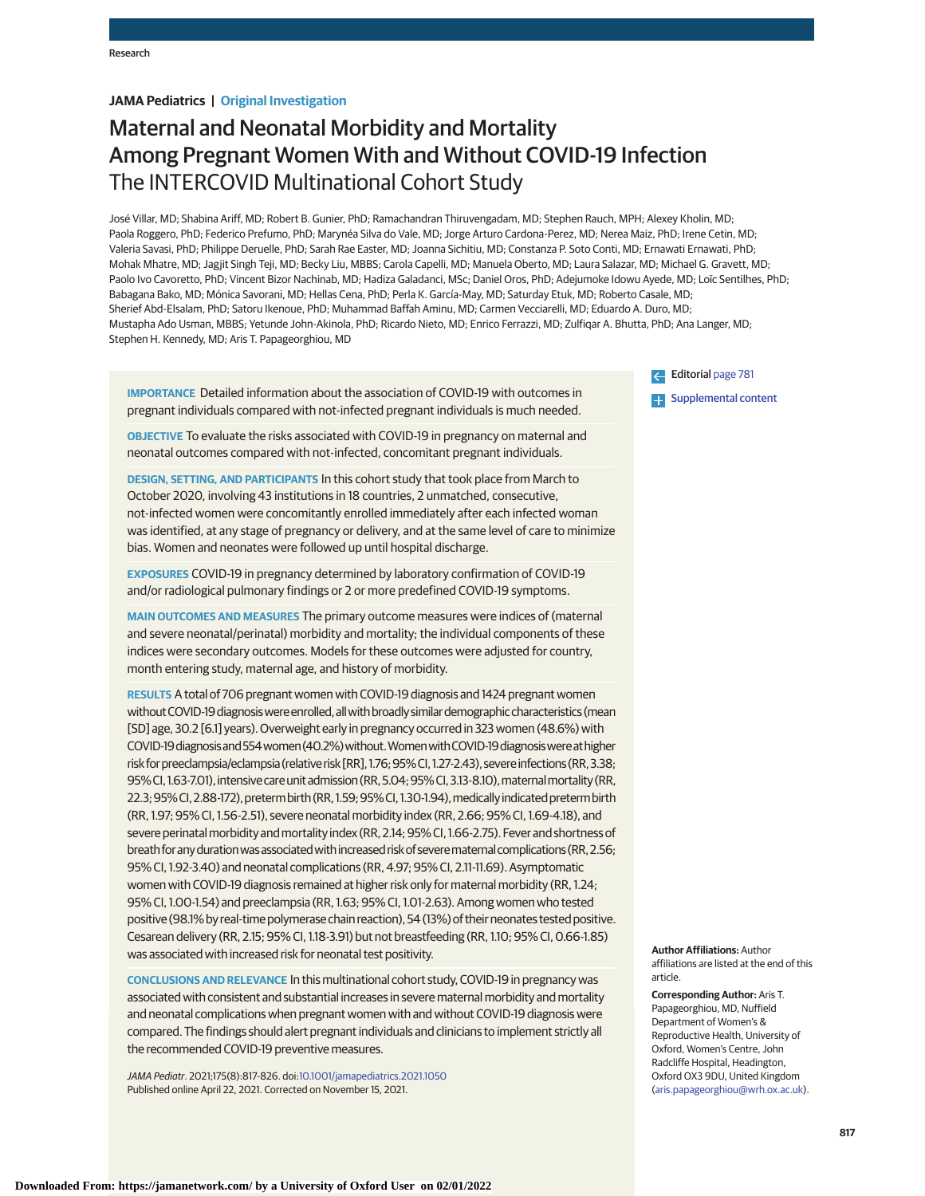# **JAMA Pediatrics | Original Investigation**

# Maternal and Neonatal Morbidity and Mortality Among Pregnant Women With and Without COVID-19 Infection The INTERCOVID Multinational Cohort Study

José Villar, MD; Shabina Ariff, MD; Robert B. Gunier, PhD; Ramachandran Thiruvengadam, MD; Stephen Rauch, MPH; Alexey Kholin, MD; Paola Roggero, PhD; Federico Prefumo, PhD; Marynéa Silva do Vale, MD; Jorge Arturo Cardona-Perez, MD; Nerea Maiz, PhD; Irene Cetin, MD; Valeria Savasi, PhD; Philippe Deruelle, PhD; Sarah Rae Easter, MD; Joanna Sichitiu, MD; Constanza P. Soto Conti, MD; Ernawati Ernawati, PhD; Mohak Mhatre, MD; Jagjit Singh Teji, MD; Becky Liu, MBBS; Carola Capelli, MD; Manuela Oberto, MD; Laura Salazar, MD; Michael G. Gravett, MD; Paolo Ivo Cavoretto, PhD; Vincent Bizor Nachinab, MD; Hadiza Galadanci, MSc; Daniel Oros, PhD; Adejumoke Idowu Ayede, MD; Loïc Sentilhes, PhD; Babagana Bako, MD; Mónica Savorani, MD; Hellas Cena, PhD; Perla K. García-May, MD; Saturday Etuk, MD; Roberto Casale, MD; Sherief Abd-Elsalam, PhD; Satoru Ikenoue, PhD; Muhammad Baffah Aminu, MD; Carmen Vecciarelli, MD; Eduardo A. Duro, MD; Mustapha Ado Usman, MBBS; Yetunde John-Akinola, PhD; Ricardo Nieto, MD; Enrico Ferrazzi, MD; Zulfiqar A. Bhutta, PhD; Ana Langer, MD; Stephen H. Kennedy, MD; Aris T. Papageorghiou, MD

**IMPORTANCE** Detailed information about the association of COVID-19 with outcomes in pregnant individuals compared with not-infected pregnant individuals is much needed.

**OBJECTIVE** To evaluate the risks associated with COVID-19 in pregnancy on maternal and neonatal outcomes compared with not-infected, concomitant pregnant individuals.

**DESIGN, SETTING, AND PARTICIPANTS** In this cohort study that took place from March to October 2020, involving 43 institutions in 18 countries, 2 unmatched, consecutive, not-infected women were concomitantly enrolled immediately after each infected woman was identified, at any stage of pregnancy or delivery, and at the same level of care to minimize bias. Women and neonates were followed up until hospital discharge.

**EXPOSURES** COVID-19 in pregnancy determined by laboratory confirmation of COVID-19 and/or radiological pulmonary findings or 2 or more predefined COVID-19 symptoms.

**MAIN OUTCOMES AND MEASURES** The primary outcome measures were indices of (maternal and severe neonatal/perinatal) morbidity and mortality; the individual components of these indices were secondary outcomes. Models for these outcomes were adjusted for country, month entering study, maternal age, and history of morbidity.

**RESULTS** A total of 706 pregnant women with COVID-19 diagnosis and 1424 pregnant women withoutCOVID-19diagnosiswereenrolled,allwithbroadlysimilardemographiccharacteristics (mean [SD] age, 30.2 [6.1] years). Overweight early in pregnancy occurred in 323 women (48.6%) with COVID-19diagnosisand554women (40.2%)without.WomenwithCOVID-19diagnosiswereathigher risk for preeclampsia/eclampsia (relative risk [RR], 1.76; 95% CI, 1.27-2.43), severe infections (RR, 3.38; 95% CI, 1.63-7.01), intensive care unit admission (RR, 5.04; 95% CI, 3.13-8.10), maternal mortality (RR, 22.3; 95% CI, 2.88-172), preterm birth (RR, 1.59; 95% CI, 1.30-1.94), medically indicated preterm birth (RR, 1.97; 95% CI, 1.56-2.51), severe neonatal morbidity index (RR, 2.66; 95% CI, 1.69-4.18), and severe perinatalmorbidity andmortality index (RR, 2.14;95% CI, 1.66-2.75). Fever and shortness of breath for any duration was associated with increased risk of severe maternal complications (RR, 2.56; 95% CI, 1.92-3.40) and neonatal complications (RR, 4.97; 95% CI, 2.11-11.69). Asymptomatic women with COVID-19 diagnosis remained at higher risk only for maternal morbidity (RR, 1.24; 95% CI, 1.00-1.54) and preeclampsia (RR, 1.63; 95% CI, 1.01-2.63). Among women who tested positive (98.1% by real-time polymerase chain reaction), 54 (13%) of their neonates tested positive. Cesarean delivery (RR, 2.15; 95% CI, 1.18-3.91) but not breastfeeding (RR, 1.10; 95% CI, 0.66-1.85) was associated with increased risk for neonatal test positivity.

**CONCLUSIONS AND RELEVANCE** In this multinational cohort study, COVID-19 in pregnancy was associated with consistent and substantial increases in severe maternal morbidity and mortality and neonatal complications when pregnant women with and without COVID-19 diagnosis were compared. The findings should alert pregnant individuals and clinicians to implement strictly all the recommended COVID-19 preventive measures.

JAMA Pediatr. 2021;175(8):817-826. doi[:10.1001/jamapediatrics.2021.1050](https://jamanetwork.com/journals/jama/fullarticle/10.1001/jamapediatrics.2021.1050?utm_campaign=articlePDF%26utm_medium=articlePDFlink%26utm_source=articlePDF%26utm_content=jamapediatrics.2021.1050) Published online April 22, 2021. Corrected on November 15, 2021.

Editorial [page 781](https://jamanetwork.com/journals/jama/fullarticle/10.1001/jamapediatrics.2021.1046?utm_campaign=articlePDF%26utm_medium=articlePDFlink%26utm_source=articlePDF%26utm_content=jamapediatrics.2021.1050) **[Supplemental content](https://jamanetwork.com/journals/ped/fullarticle/10.1001/jamapediatrics.2021.1050?utm_campaign=articlePDF%26utm_medium=articlePDFlink%26utm_source=articlePDF%26utm_content=jamapediatrics.2021.1050)** 

**Author Affiliations:** Author affiliations are listed at the end of this article.

**Corresponding Author:** Aris T. Papageorghiou, MD, Nuffield Department of Women's & Reproductive Health, University of Oxford, Women's Centre, John Radcliffe Hospital, Headington, Oxford OX3 9DU, United Kingdom [\(aris.papageorghiou@wrh.ox.ac.uk\)](mailto:aris.papageorghiou@wrh.ox.ac.uk).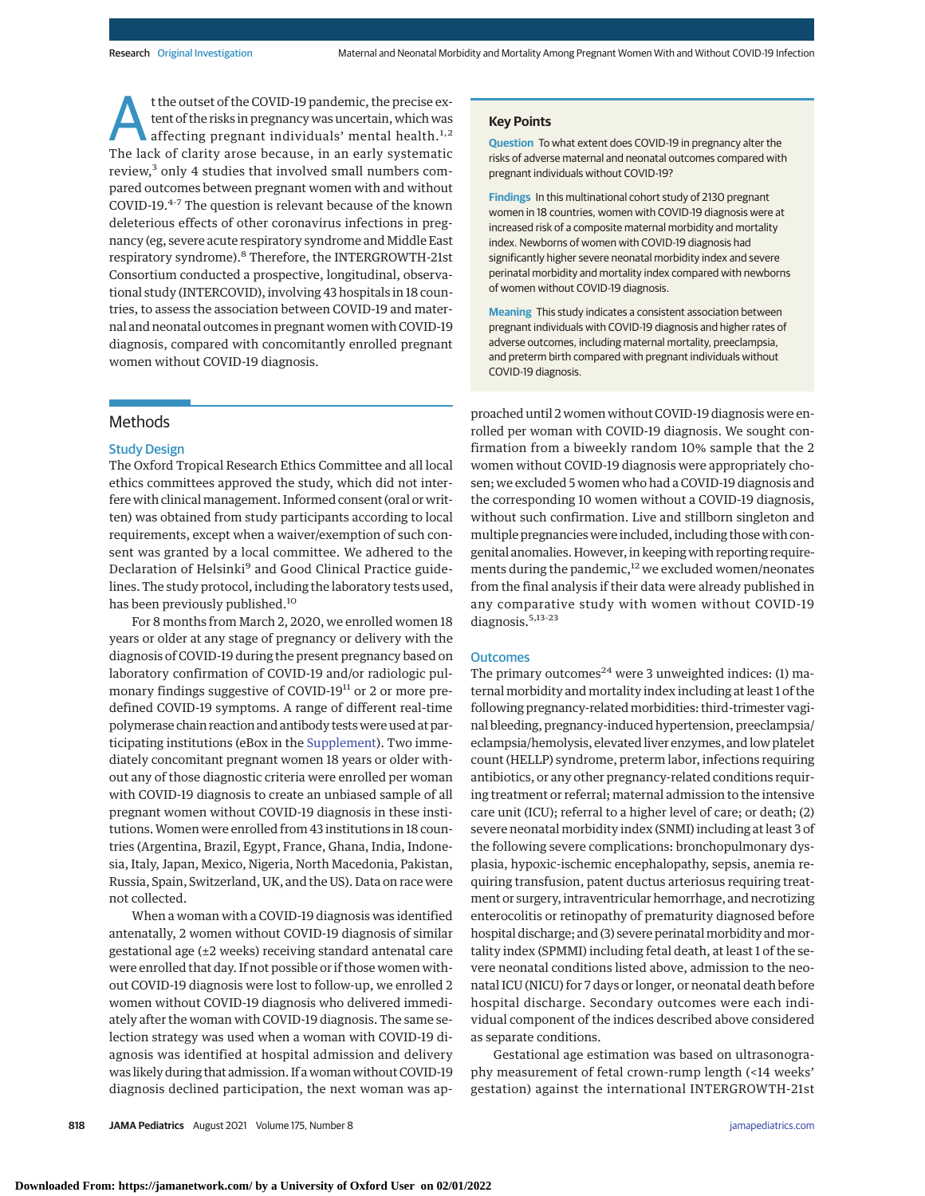t the outset of the COVID-19 pandemic, the precise ex-<br>tent of the risks in pregnancy was uncertain, which was<br>affecting pregnant individuals' mental health.<sup>1,2</sup><br>The lack of clarity area because in an oarly systematic tent of the risks in pregnancy was uncertain, which was The lack of clarity arose because, in an early systematic review,<sup>3</sup> only 4 studies that involved small numbers compared outcomes between pregnant women with and without COVID-19.4-7 The question is relevant because of the known deleterious effects of other coronavirus infections in pregnancy (eg, severe acute respiratory syndrome and Middle East respiratory syndrome).<sup>8</sup> Therefore, the INTERGROWTH-21st Consortium conducted a prospective, longitudinal, observational study (INTERCOVID), involving 43 hospitals in 18 countries, to assess the association between COVID-19 and maternal and neonatal outcomes in pregnant women with COVID-19 diagnosis, compared with concomitantly enrolled pregnant women without COVID-19 diagnosis.

## Methods

#### Study Design

The Oxford Tropical Research Ethics Committee and all local ethics committees approved the study, which did not interfere with clinical management. Informed consent (oral or written) was obtained from study participants according to local requirements, except when a waiver/exemption of such consent was granted by a local committee. We adhered to the Declaration of Helsinki<sup>9</sup> and Good Clinical Practice guidelines. The study protocol, including the laboratory tests used, has been previously published.<sup>10</sup>

For 8 months from March 2, 2020, we enrolled women 18 years or older at any stage of pregnancy or delivery with the diagnosis of COVID-19 during the present pregnancy based on laboratory confirmation of COVID-19 and/or radiologic pulmonary findings suggestive of COVID-19<sup>11</sup> or 2 or more predefined COVID-19 symptoms. A range of different real-time polymerase chain reaction and antibody tests were used at participating institutions (eBox in the [Supplement\)](https://jamanetwork.com/journals/jama/fullarticle/10.1001/jamapediatrics.2021.1050?utm_campaign=articlePDF%26utm_medium=articlePDFlink%26utm_source=articlePDF%26utm_content=jamapediatrics.2021.1050). Two immediately concomitant pregnant women 18 years or older without any of those diagnostic criteria were enrolled per woman with COVID-19 diagnosis to create an unbiased sample of all pregnant women without COVID-19 diagnosis in these institutions.Women were enrolled from 43 institutions in 18 countries (Argentina, Brazil, Egypt, France, Ghana, India, Indonesia, Italy, Japan, Mexico, Nigeria, North Macedonia, Pakistan, Russia, Spain, Switzerland, UK, and the US). Data on race were not collected.

When a woman with a COVID-19 diagnosis was identified antenatally, 2 women without COVID-19 diagnosis of similar gestational age (±2 weeks) receiving standard antenatal care were enrolled that day. If not possible or if those women without COVID-19 diagnosis were lost to follow-up, we enrolled 2 women without COVID-19 diagnosis who delivered immediately after the woman with COVID-19 diagnosis. The same selection strategy was used when a woman with COVID-19 diagnosis was identified at hospital admission and delivery was likely during that admission. If a woman without COVID-19 diagnosis declined participation, the next woman was ap-

#### **Key Points**

**Question** To what extent does COVID-19 in pregnancy alter the risks of adverse maternal and neonatal outcomes compared with pregnant individuals without COVID-19?

**Findings** In this multinational cohort study of 2130 pregnant women in 18 countries, women with COVID-19 diagnosis were at increased risk of a composite maternal morbidity and mortality index. Newborns of women with COVID-19 diagnosis had significantly higher severe neonatal morbidity index and severe perinatal morbidity and mortality index compared with newborns of women without COVID-19 diagnosis.

**Meaning** This study indicates a consistent association between pregnant individuals with COVID-19 diagnosis and higher rates of adverse outcomes, including maternal mortality, preeclampsia, and preterm birth compared with pregnant individuals without COVID-19 diagnosis.

proached until 2 women without COVID-19 diagnosis were enrolled per woman with COVID-19 diagnosis. We sought confirmation from a biweekly random 10% sample that the 2 women without COVID-19 diagnosis were appropriately chosen; we excluded 5 women who had a COVID-19 diagnosis and the corresponding 10 women without a COVID-19 diagnosis, without such confirmation. Live and stillborn singleton and multiple pregnancies were included, including those with congenital anomalies. However, in keeping with reporting requirements during the pandemic, $12$  we excluded women/neonates from the final analysis if their data were already published in any comparative study with women without COVID-19 diagnosis.<sup>5,13-23</sup>

## **Outcomes**

The primary outcomes<sup>24</sup> were 3 unweighted indices: (1) maternal morbidity and mortality index including at least 1 of the following pregnancy-relatedmorbidities: third-trimester vaginal bleeding, pregnancy-induced hypertension, preeclampsia/ eclampsia/hemolysis, elevated liver enzymes, and low platelet count (HELLP) syndrome, preterm labor, infections requiring antibiotics, or any other pregnancy-related conditions requiring treatment or referral; maternal admission to the intensive care unit (ICU); referral to a higher level of care; or death; (2) severe neonatal morbidity index (SNMI) including at least 3 of the following severe complications: bronchopulmonary dysplasia, hypoxic-ischemic encephalopathy, sepsis, anemia requiring transfusion, patent ductus arteriosus requiring treatment or surgery, intraventricular hemorrhage, and necrotizing enterocolitis or retinopathy of prematurity diagnosed before hospital discharge; and (3) severe perinatal morbidity and mortality index (SPMMI) including fetal death, at least 1 of the severe neonatal conditions listed above, admission to the neonatal ICU (NICU) for 7 days or longer, or neonatal death before hospital discharge. Secondary outcomes were each individual component of the indices described above considered as separate conditions.

Gestational age estimation was based on ultrasonography measurement of fetal crown-rump length (<14 weeks' gestation) against the international INTERGROWTH-21st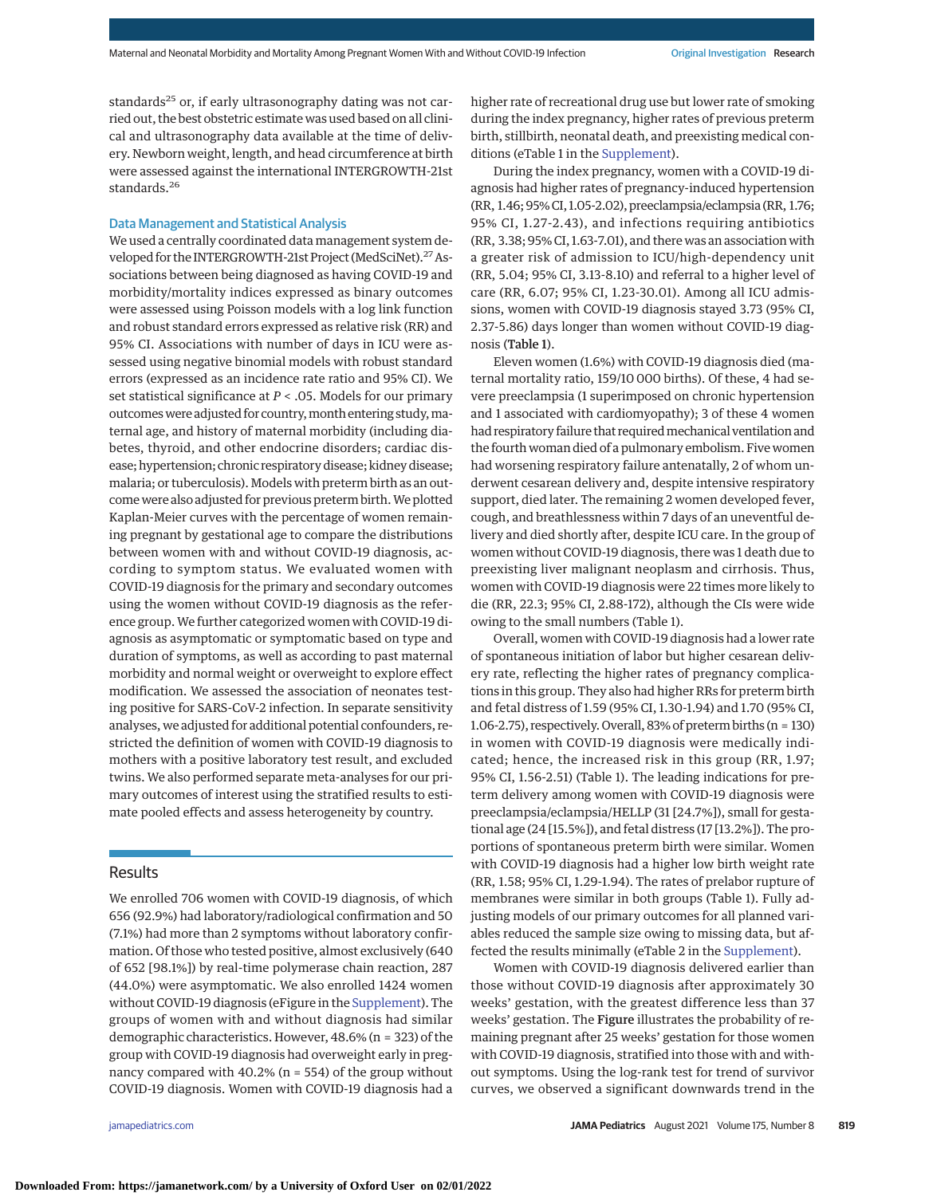standards<sup>25</sup> or, if early ultrasonography dating was not carried out, the best obstetric estimate was used based on all clinical and ultrasonography data available at the time of delivery. Newborn weight, length, and head circumference at birth were assessed against the international INTERGROWTH-21st standards.<sup>26</sup>

## Data Management and Statistical Analysis

We used a centrally coordinated data management system developed for the INTERGROWTH-21st Project (MedSciNet).<sup>27</sup> Associations between being diagnosed as having COVID-19 and morbidity/mortality indices expressed as binary outcomes were assessed using Poisson models with a log link function and robust standard errors expressed as relative risk (RR) and 95% CI. Associations with number of days in ICU were assessed using negative binomial models with robust standard errors (expressed as an incidence rate ratio and 95% CI). We set statistical significance at *P* < .05. Models for our primary outcomes were adjusted for country, month entering study, maternal age, and history of maternal morbidity (including diabetes, thyroid, and other endocrine disorders; cardiac disease; hypertension; chronic respiratory disease; kidney disease; malaria; or tuberculosis). Models with preterm birth as an outcome were also adjusted for previous preterm birth.We plotted Kaplan-Meier curves with the percentage of women remaining pregnant by gestational age to compare the distributions between women with and without COVID-19 diagnosis, according to symptom status. We evaluated women with COVID-19 diagnosis for the primary and secondary outcomes using the women without COVID-19 diagnosis as the reference group. We further categorized women with COVID-19 diagnosis as asymptomatic or symptomatic based on type and duration of symptoms, as well as according to past maternal morbidity and normal weight or overweight to explore effect modification. We assessed the association of neonates testing positive for SARS-CoV-2 infection. In separate sensitivity analyses, we adjusted for additional potential confounders, restricted the definition of women with COVID-19 diagnosis to mothers with a positive laboratory test result, and excluded twins. We also performed separate meta-analyses for our primary outcomes of interest using the stratified results to estimate pooled effects and assess heterogeneity by country.

# Results

We enrolled 706 women with COVID-19 diagnosis, of which 656 (92.9%) had laboratory/radiological confirmation and 50 (7.1%) had more than 2 symptoms without laboratory confirmation. Of those who tested positive, almost exclusively (640 of 652 [98.1%]) by real-time polymerase chain reaction, 287 (44.0%) were asymptomatic. We also enrolled 1424 women without COVID-19 diagnosis (eFigure in the [Supplement\)](https://jamanetwork.com/journals/jama/fullarticle/10.1001/jamapediatrics.2021.1050?utm_campaign=articlePDF%26utm_medium=articlePDFlink%26utm_source=articlePDF%26utm_content=jamapediatrics.2021.1050). The groups of women with and without diagnosis had similar demographic characteristics. However, 48.6% (n = 323) of the group with COVID-19 diagnosis had overweight early in pregnancy compared with  $40.2\%$  (n = 554) of the group without COVID-19 diagnosis. Women with COVID-19 diagnosis had a

higher rate of recreational drug use but lower rate of smoking during the index pregnancy, higher rates of previous preterm birth, stillbirth, neonatal death, and preexisting medical conditions (eTable 1 in the [Supplement\)](https://jamanetwork.com/journals/jama/fullarticle/10.1001/jamapediatrics.2021.1050?utm_campaign=articlePDF%26utm_medium=articlePDFlink%26utm_source=articlePDF%26utm_content=jamapediatrics.2021.1050).

During the index pregnancy, women with a COVID-19 diagnosis had higher rates of pregnancy-induced hypertension (RR, 1.46; 95% CI, 1.05-2.02), preeclampsia/eclampsia (RR, 1.76; 95% CI, 1.27-2.43), and infections requiring antibiotics (RR, 3.38; 95% CI, 1.63-7.01), and there was an association with a greater risk of admission to ICU/high-dependency unit (RR, 5.04; 95% CI, 3.13-8.10) and referral to a higher level of care (RR, 6.07; 95% CI, 1.23-30.01). Among all ICU admissions, women with COVID-19 diagnosis stayed 3.73 (95% CI, 2.37-5.86) days longer than women without COVID-19 diagnosis (Table 1).

Eleven women (1.6%) with COVID-19 diagnosis died (maternal mortality ratio, 159/10 000 births). Of these, 4 had severe preeclampsia (1 superimposed on chronic hypertension and 1 associated with cardiomyopathy); 3 of these 4 women had respiratory failure that required mechanical ventilation and the fourth woman died of a pulmonary embolism. Five women had worsening respiratory failure antenatally, 2 of whom underwent cesarean delivery and, despite intensive respiratory support, died later. The remaining 2 women developed fever, cough, and breathlessness within 7 days of an uneventful delivery and died shortly after, despite ICU care. In the group of women without COVID-19 diagnosis, there was 1 death due to preexisting liver malignant neoplasm and cirrhosis. Thus, women with COVID-19 diagnosis were 22 times more likely to die (RR, 22.3; 95% CI, 2.88-172), although the CIs were wide owing to the small numbers (Table 1).

Overall, women with COVID-19 diagnosis had a lower rate of spontaneous initiation of labor but higher cesarean delivery rate, reflecting the higher rates of pregnancy complications in this group. They also had higher RRs for preterm birth and fetal distress of 1.59 (95% CI, 1.30-1.94) and 1.70 (95% CI, 1.06-2.75), respectively. Overall, 83% of preterm births (n = 130) in women with COVID-19 diagnosis were medically indicated; hence, the increased risk in this group (RR, 1.97; 95% CI, 1.56-2.51) (Table 1). The leading indications for preterm delivery among women with COVID-19 diagnosis were preeclampsia/eclampsia/HELLP (31 [24.7%]), small for gestational age (24 [15.5%]), and fetal distress (17 [13.2%]). The proportions of spontaneous preterm birth were similar. Women with COVID-19 diagnosis had a higher low birth weight rate (RR, 1.58; 95% CI, 1.29-1.94). The rates of prelabor rupture of membranes were similar in both groups (Table 1). Fully adjusting models of our primary outcomes for all planned variables reduced the sample size owing to missing data, but affected the results minimally (eTable 2 in the [Supplement\)](https://jamanetwork.com/journals/jama/fullarticle/10.1001/jamapediatrics.2021.1050?utm_campaign=articlePDF%26utm_medium=articlePDFlink%26utm_source=articlePDF%26utm_content=jamapediatrics.2021.1050).

Women with COVID-19 diagnosis delivered earlier than those without COVID-19 diagnosis after approximately 30 weeks' gestation, with the greatest difference less than 37 weeks' gestation. The Figure illustrates the probability of remaining pregnant after 25 weeks' gestation for those women with COVID-19 diagnosis, stratified into those with and without symptoms. Using the log-rank test for trend of survivor curves, we observed a significant downwards trend in the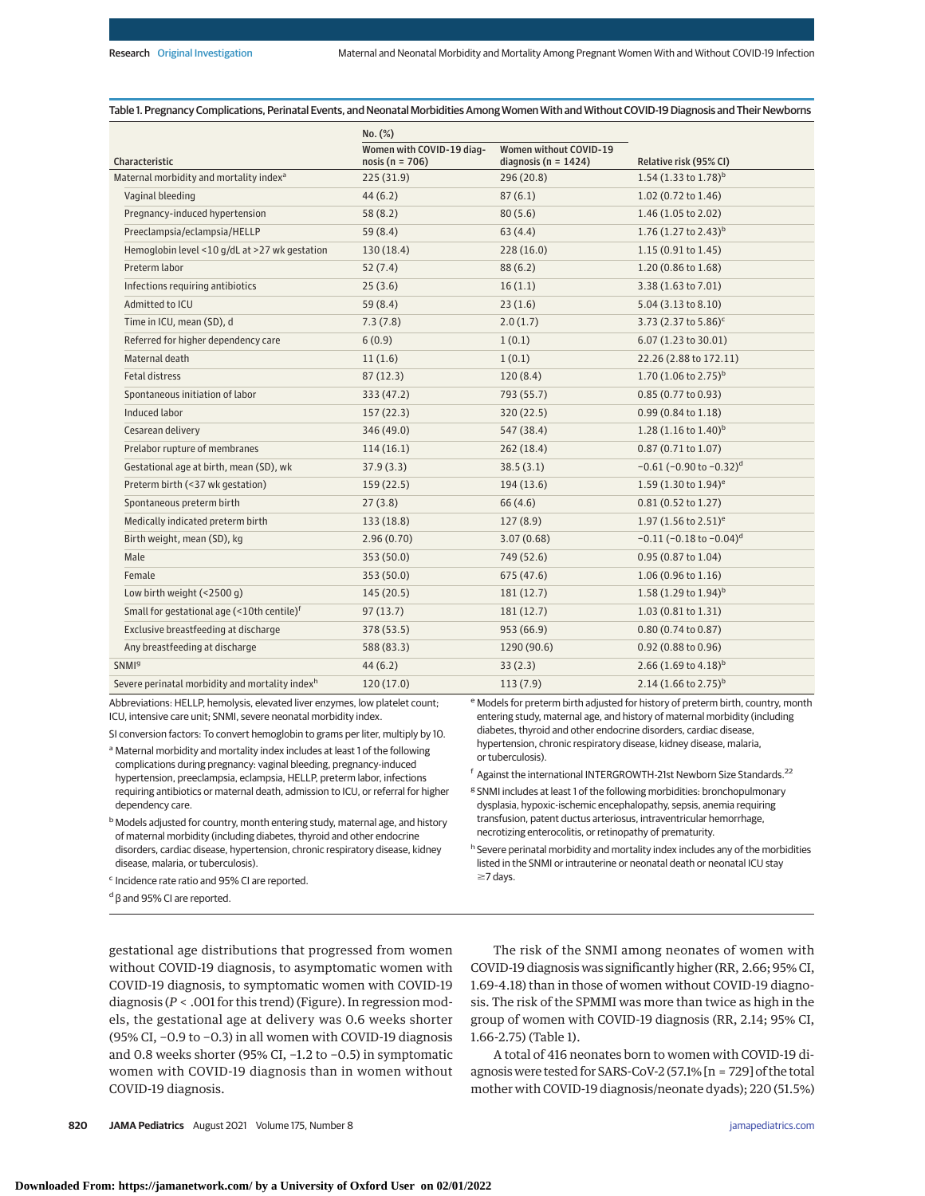## Table 1. Pregnancy Complications, Perinatal Events, and Neonatal Morbidities Among Women With and Without COVID-19 Diagnosis and Their Newborns

|                                                             | No. (%)                                          |                                                    |                                             |  |
|-------------------------------------------------------------|--------------------------------------------------|----------------------------------------------------|---------------------------------------------|--|
| Characteristic                                              | Women with COVID-19 diag-<br>nosis ( $n = 706$ ) | Women without COVID-19<br>diagnosis ( $n = 1424$ ) | Relative risk (95% CI)                      |  |
| Maternal morbidity and mortality index <sup>a</sup>         | 225(31.9)                                        | 296 (20.8)                                         | 1.54 $(1.33$ to 1.78) <sup>b</sup>          |  |
| Vaginal bleeding                                            | 44(6.2)                                          | 87(6.1)                                            | $1.02(0.72 \text{ to } 1.46)$               |  |
| Pregnancy-induced hypertension                              | 58(8.2)                                          | 80(5.6)                                            | 1.46 (1.05 to 2.02)                         |  |
| Preeclampsia/eclampsia/HELLP                                | 59(8.4)                                          | 63(4.4)                                            | 1.76 $(1.27 \text{ to } 2.43)^b$            |  |
| Hemoglobin level <10 g/dL at >27 wk gestation               | 130(18.4)                                        | 228(16.0)                                          | 1.15(0.91 to 1.45)                          |  |
| Preterm labor                                               | 52(7.4)                                          | 88(6.2)                                            | 1.20 (0.86 to 1.68)                         |  |
| Infections requiring antibiotics                            | 25(3.6)                                          | 16(1.1)                                            | 3.38 (1.63 to 7.01)                         |  |
| Admitted to ICU                                             | 59(8.4)                                          | 23(1.6)                                            | 5.04 (3.13 to 8.10)                         |  |
| Time in ICU, mean (SD), d                                   | 7.3(7.8)                                         | 2.0(1.7)                                           | 3.73 (2.37 to 5.86) <sup>c</sup>            |  |
| Referred for higher dependency care                         | 6(0.9)                                           | 1(0.1)                                             | 6.07 (1.23 to 30.01)                        |  |
| Maternal death                                              | 11(1.6)                                          | 1(0.1)                                             | 22.26 (2.88 to 172.11)                      |  |
| <b>Fetal distress</b>                                       | 87(12.3)                                         | 120(8.4)                                           | 1.70 $(1.06 \text{ to } 2.75)^b$            |  |
| Spontaneous initiation of labor                             | 333 (47.2)                                       | 793 (55.7)                                         | 0.85 (0.77 to 0.93)                         |  |
| Induced labor                                               | 157(22.3)                                        | 320(22.5)                                          | 0.99 (0.84 to 1.18)                         |  |
| Cesarean delivery                                           | 346 (49.0)                                       | 547 (38.4)                                         | 1.28 $(1.16 \text{ to } 1.40)^b$            |  |
| Prelabor rupture of membranes                               | 114(16.1)                                        | 262(18.4)                                          | $0.87(0.71 \text{ to } 1.07)$               |  |
| Gestational age at birth, mean (SD), wk                     | 37.9(3.3)                                        | 38.5(3.1)                                          | $-0.61$ (-0.90 to $-0.32$ ) <sup>d</sup>    |  |
| Preterm birth (<37 wk gestation)                            | 159(22.5)                                        | 194(13.6)                                          | 1.59 (1.30 to 1.94) <sup>e</sup>            |  |
| Spontaneous preterm birth                                   | 27(3.8)                                          | 66(4.6)                                            | 0.81(0.52 to 1.27)                          |  |
| Medically indicated preterm birth                           | 133(18.8)                                        | 127(8.9)                                           | 1.97 $(1.56 \text{ to } 2.51)^e$            |  |
| Birth weight, mean (SD), kg                                 | 2.96(0.70)                                       | 3.07(0.68)                                         | $-0.11$ ( $-0.18$ to $-0.04$ ) <sup>d</sup> |  |
| Male                                                        | 353 (50.0)                                       | 749 (52.6)                                         | 0.95 (0.87 to 1.04)                         |  |
| Female                                                      | 353 (50.0)                                       | 675(47.6)                                          | $1.06(0.96 \text{ to } 1.16)$               |  |
| Low birth weight $(<2500 q)$                                | 145(20.5)                                        | 181(12.7)                                          | 1.58 $(1.29 \text{ to } 1.94)^b$            |  |
| Small for gestational age (<10th centile) <sup>f</sup>      | 97(13.7)                                         | 181(12.7)                                          | 1.03 (0.81 to 1.31)                         |  |
| Exclusive breastfeeding at discharge                        | 378 (53.5)                                       | 953 (66.9)                                         | $0.80(0.74 \text{ to } 0.87)$               |  |
| Any breastfeeding at discharge                              | 588 (83.3)                                       | 1290 (90.6)                                        | 0.92 (0.88 to 0.96)                         |  |
| <b>SNMI</b> <sup>g</sup>                                    | 44(6.2)                                          | 33(2.3)                                            | 2.66 $(1.69 \text{ to } 4.18)^{\text{b}}$   |  |
| Severe perinatal morbidity and mortality index <sup>h</sup> | 120(17.0)                                        | 113(7.9)                                           | $2.14(1.66 \text{ to } 2.75)^b$             |  |
|                                                             |                                                  |                                                    |                                             |  |

Abbreviations: HELLP, hemolysis, elevated liver enzymes, low platelet count; ICU, intensive care unit; SNMI, severe neonatal morbidity index.

SI conversion factors: To convert hemoglobin to grams per liter, multiply by 10.

a Maternal morbidity and mortality index includes at least 1 of the following complications during pregnancy: vaginal bleeding, pregnancy-induced hypertension, preeclampsia, eclampsia, HELLP, preterm labor, infections requiring antibiotics or maternal death, admission to ICU, or referral for higher dependency care.

 $^{\rm b}$  Models adjusted for country, month entering study, maternal age, and history of maternal morbidity (including diabetes, thyroid and other endocrine disorders, cardiac disease, hypertension, chronic respiratory disease, kidney disease, malaria, or tuberculosis).

<sup>c</sup> Incidence rate ratio and 95% CI are reported.

<sup>d</sup> β and 95% CI are reported.

<sup>e</sup> Models for preterm birth adjusted for history of preterm birth, country, month entering study, maternal age, and history of maternal morbidity (including diabetes, thyroid and other endocrine disorders, cardiac disease, hypertension, chronic respiratory disease, kidney disease, malaria, or tuberculosis).

<sup>f</sup> Against the international INTERGROWTH-21st Newborn Size Standards.22

<sup>g</sup> SNMI includes at least 1 of the following morbidities: bronchopulmonary dysplasia, hypoxic-ischemic encephalopathy, sepsis, anemia requiring transfusion, patent ductus arteriosus, intraventricular hemorrhage, necrotizing enterocolitis, or retinopathy of prematurity.

h Severe perinatal morbidity and mortality index includes any of the morbidities listed in the SNMI or intrauterine or neonatal death or neonatal ICU stay ≥7 days.

gestational age distributions that progressed from women without COVID-19 diagnosis, to asymptomatic women with COVID-19 diagnosis, to symptomatic women with COVID-19 diagnosis (*P* < .001 for this trend) (Figure). In regression models, the gestational age at delivery was 0.6 weeks shorter (95% CI, −0.9 to −0.3) in all women with COVID-19 diagnosis and 0.8 weeks shorter (95% CI, −1.2 to −0.5) in symptomatic women with COVID-19 diagnosis than in women without COVID-19 diagnosis.

The risk of the SNMI among neonates of women with COVID-19 diagnosis was significantly higher (RR, 2.66; 95% CI, 1.69-4.18) than in those of women without COVID-19 diagnosis. The risk of the SPMMI was more than twice as high in the group of women with COVID-19 diagnosis (RR, 2.14; 95% CI, 1.66-2.75) (Table 1).

A total of 416 neonates born to women with COVID-19 diagnosis were tested for SARS-CoV-2 (57.1% [n = 729] of the total mother with COVID-19 diagnosis/neonate dyads); 220 (51.5%)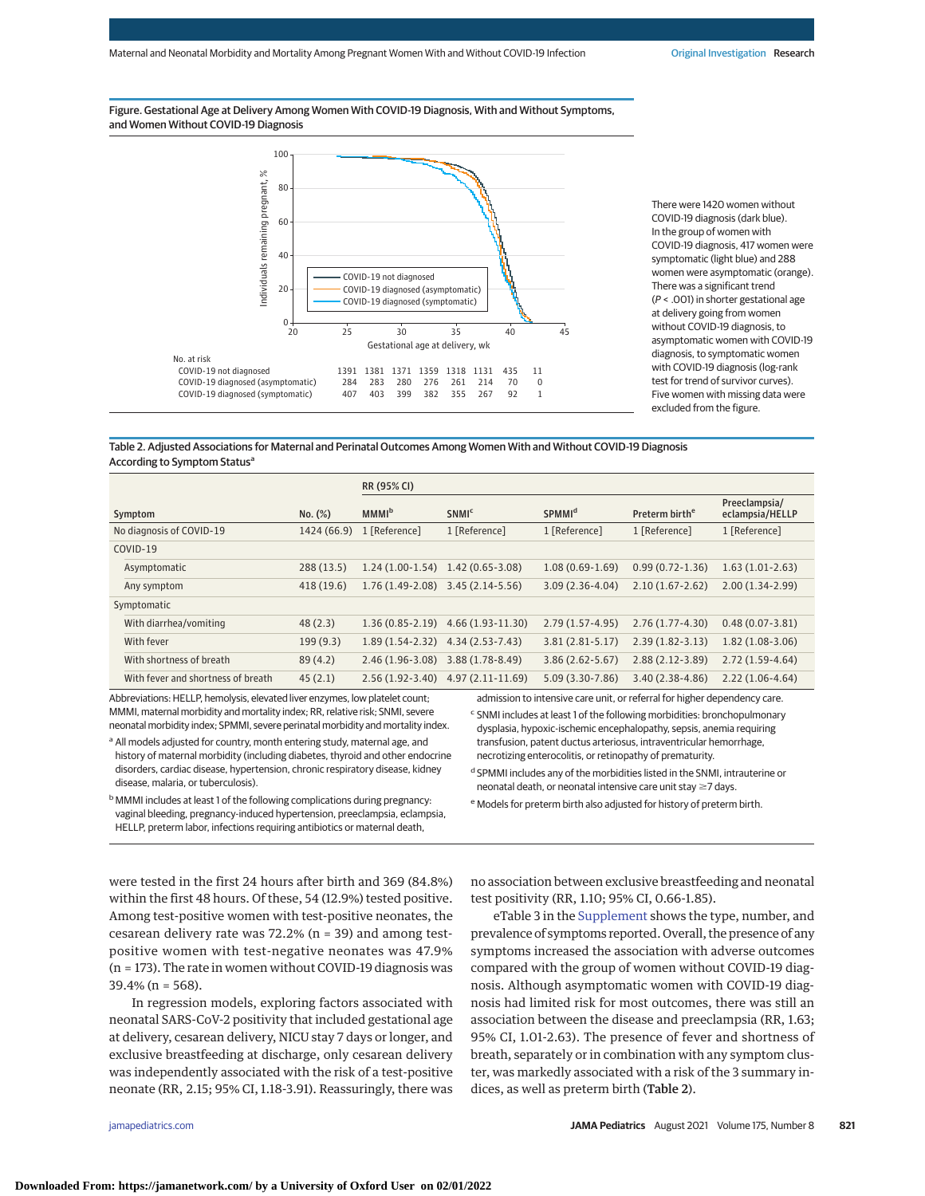Figure. Gestational Age at Delivery Among Women With COVID-19 Diagnosis, With and Without Symptoms, and Women Without COVID-19 Diagnosis



There were 1420 women without COVID-19 diagnosis (dark blue). In the group of women with COVID-19 diagnosis, 417 women were symptomatic (light blue) and 288 women were asymptomatic (orange). There was a significant trend (P < .001) in shorter gestational age at delivery going from women without COVID-19 diagnosis, to asymptomatic women with COVID-19 diagnosis, to symptomatic women with COVID-19 diagnosis (log-rank test for trend of survivor curves). Five women with missing data were excluded from the figure.

### Table 2. Adjusted Associations for Maternal and Perinatal Outcomes Among Women With and Without COVID-19 Diagnosis According to Symptom Status<sup>a</sup>

|                                    |             | RR (95% CI)                         |                                     |                          |                            |                                  |
|------------------------------------|-------------|-------------------------------------|-------------------------------------|--------------------------|----------------------------|----------------------------------|
| Symptom                            | No. (%)     | <b>MMMI</b> <sup>b</sup>            | <b>SNMI<sup>c</sup></b>             | <b>SPMMI<sup>d</sup></b> | Preterm birth <sup>e</sup> | Preeclampsia/<br>eclampsia/HELLP |
| No diagnosis of COVID-19           | 1424 (66.9) | 1 [Reference]                       | 1 [Reference]                       | 1 [Reference]            | 1 [Reference]              | 1 [Reference]                    |
| COVID-19                           |             |                                     |                                     |                          |                            |                                  |
| Asymptomatic                       | 288 (13.5)  | $1.24(1.00-1.54)$                   | $1.42(0.65-3.08)$                   | $1.08(0.69-1.69)$        | $0.99(0.72 - 1.36)$        | $1.63(1.01-2.63)$                |
| Any symptom                        | 418 (19.6)  | $1.76(1.49-2.08)$                   | 3.45 (2.14-5.56)                    | $3.09(2.36-4.04)$        | $2.10(1.67 - 2.62)$        | $2.00(1.34-2.99)$                |
| Symptomatic                        |             |                                     |                                     |                          |                            |                                  |
| With diarrhea/vomiting             | 48(2.3)     | $1.36(0.85 - 2.19)$                 | $4.66(1.93-11.30)$                  | $2.79(1.57-4.95)$        | $2.76(1.77-4.30)$          | $0.48(0.07 - 3.81)$              |
| With fever                         | 199(9.3)    | $1.89(1.54-2.32)$ $4.34(2.53-7.43)$ |                                     | $3.81(2.81 - 5.17)$      | $2.39(1.82 - 3.13)$        | $1.82(1.08-3.06)$                |
| With shortness of breath           | 89(4.2)     | $2.46(1.96-3.08)$                   | $3.88(1.78-8.49)$                   | $3.86(2.62 - 5.67)$      | $2.88(2.12-3.89)$          | $2.72(1.59-4.64)$                |
| With fever and shortness of breath | 45(2.1)     |                                     | $2.56(1.92-3.40)$ 4.97 (2.11-11.69) | $5.09(3.30-7.86)$        | $3.40(2.38-4.86)$          | $2.22(1.06-4.64)$                |

Abbreviations: HELLP, hemolysis, elevated liver enzymes, low platelet count; MMMI, maternal morbidity and mortality index; RR, relative risk; SNMI, severe neonatal morbidity index; SPMMI, severe perinatal morbidity and mortality index.

<sup>a</sup> All models adjusted for country, month entering study, maternal age, and history of maternal morbidity (including diabetes, thyroid and other endocrine disorders, cardiac disease, hypertension, chronic respiratory disease, kidney disease, malaria, or tuberculosis).

b MMMI includes at least 1 of the following complications during pregnancy: vaginal bleeding, pregnancy-induced hypertension, preeclampsia, eclampsia, HELLP, preterm labor, infections requiring antibiotics or maternal death,

admission to intensive care unit, or referral for higher dependency care.

<sup>c</sup> SNMI includes at least 1 of the following morbidities: bronchopulmonary dysplasia, hypoxic-ischemic encephalopathy, sepsis, anemia requiring transfusion, patent ductus arteriosus, intraventricular hemorrhage, necrotizing enterocolitis, or retinopathy of prematurity.

<sup>d</sup> SPMMI includes any of the morbidities listed in the SNMI, intrauterine or neonatal death, or neonatal intensive care unit stay  $\geq$ 7 days.

<sup>e</sup> Models for preterm birth also adjusted for history of preterm birth.

were tested in the first 24 hours after birth and 369 (84.8%) within the first 48 hours. Of these, 54 (12.9%) tested positive. Among test-positive women with test-positive neonates, the cesarean delivery rate was 72.2% (n = 39) and among testpositive women with test-negative neonates was 47.9% (n = 173). The rate in women without COVID-19 diagnosis was 39.4% (n = 568).

In regression models, exploring factors associated with neonatal SARS-CoV-2 positivity that included gestational age at delivery, cesarean delivery, NICU stay 7 days or longer, and exclusive breastfeeding at discharge, only cesarean delivery was independently associated with the risk of a test-positive neonate (RR, 2.15; 95% CI, 1.18-3.91). Reassuringly, there was

no association between exclusive breastfeeding and neonatal test positivity (RR, 1.10; 95% CI, 0.66-1.85).

eTable 3 in the [Supplement](https://jamanetwork.com/journals/jama/fullarticle/10.1001/jamapediatrics.2021.1050?utm_campaign=articlePDF%26utm_medium=articlePDFlink%26utm_source=articlePDF%26utm_content=jamapediatrics.2021.1050) shows the type, number, and prevalence of symptoms reported. Overall, the presence of any symptoms increased the association with adverse outcomes compared with the group of women without COVID-19 diagnosis. Although asymptomatic women with COVID-19 diagnosis had limited risk for most outcomes, there was still an association between the disease and preeclampsia (RR, 1.63; 95% CI, 1.01-2.63). The presence of fever and shortness of breath, separately or in combination with any symptom cluster, was markedly associated with a risk of the 3 summary indices, as well as preterm birth (Table 2).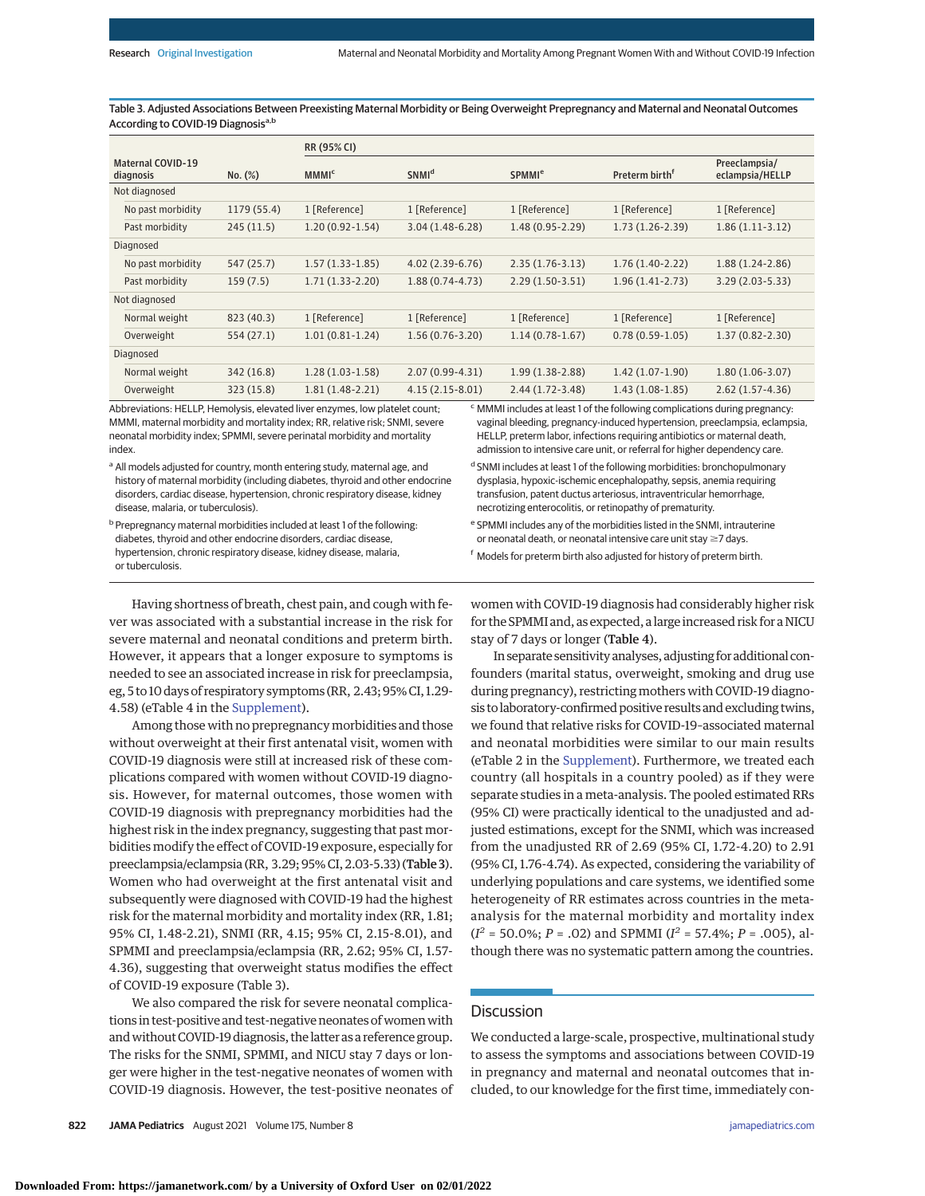Table 3. Adjusted Associations Between Preexisting Maternal Morbidity or Being Overweight Prepregnancy and Maternal and Neonatal Outcomes According to COVID-19 Diagnosisa,b

|                                       |              | RR (95% CI)             |                          |                          |                            |                                  |  |
|---------------------------------------|--------------|-------------------------|--------------------------|--------------------------|----------------------------|----------------------------------|--|
| <b>Maternal COVID-19</b><br>diagnosis | $No.$ $(\%)$ | <b>MMMI<sup>c</sup></b> | <b>SNMI</b> <sup>d</sup> | <b>SPMMI<sup>e</sup></b> | Preterm birth <sup>f</sup> | Preeclampsia/<br>eclampsia/HELLP |  |
| Not diagnosed                         |              |                         |                          |                          |                            |                                  |  |
| No past morbidity                     | 1179 (55.4)  | 1 [Reference]           | 1 [Reference]            | 1 [Reference]            | 1 [Reference]              | 1 [Reference]                    |  |
| Past morbidity                        | 245(11.5)    | $1.20(0.92 - 1.54)$     | $3.04(1.48-6.28)$        | $1.48(0.95-2.29)$        | $1.73(1.26-2.39)$          | $1.86(1.11-3.12)$                |  |
| Diagnosed                             |              |                         |                          |                          |                            |                                  |  |
| No past morbidity                     | 547 (25.7)   | $1.57(1.33-1.85)$       | $4.02(2.39-6.76)$        | $2.35(1.76-3.13)$        | $1.76(1.40-2.22)$          | $1.88(1.24-2.86)$                |  |
| Past morbidity                        | 159(7.5)     | $1.71(1.33-2.20)$       | $1.88(0.74-4.73)$        | $2.29(1.50-3.51)$        | $1.96(1.41-2.73)$          | $3.29(2.03 - 5.33)$              |  |
| Not diagnosed                         |              |                         |                          |                          |                            |                                  |  |
| Normal weight                         | 823 (40.3)   | 1 [Reference]           | 1 [Reference]            | 1 [Reference]            | 1 [Reference]              | 1 [Reference]                    |  |
| Overweight                            | 554 (27.1)   | $1.01(0.81-1.24)$       | $1.56(0.76-3.20)$        | $1.14(0.78-1.67)$        | $0.78(0.59-1.05)$          | $1.37(0.82 - 2.30)$              |  |
| Diagnosed                             |              |                         |                          |                          |                            |                                  |  |
| Normal weight                         | 342 (16.8)   | $1.28(1.03-1.58)$       | $2.07(0.99-4.31)$        | $1.99(1.38-2.88)$        | $1.42(1.07-1.90)$          | $1.80(1.06-3.07)$                |  |
| Overweight                            | 323 (15.8)   | $1.81(1.48-2.21)$       | $4.15(2.15-8.01)$        | $2.44(1.72-3.48)$        | $1.43(1.08-1.85)$          | $2.62(1.57-4.36)$                |  |

Abbreviations: HELLP, Hemolysis, elevated liver enzymes, low platelet count; MMMI, maternal morbidity and mortality index; RR, relative risk; SNMI, severe neonatal morbidity index; SPMMI, severe perinatal morbidity and mortality index.

<sup>a</sup> All models adjusted for country, month entering study, maternal age, and history of maternal morbidity (including diabetes, thyroid and other endocrine disorders, cardiac disease, hypertension, chronic respiratory disease, kidney disease, malaria, or tuberculosis).

<sup>c</sup> MMMI includes at least 1 of the following complications during pregnancy: vaginal bleeding, pregnancy-induced hypertension, preeclampsia, eclampsia, HELLP, preterm labor, infections requiring antibiotics or maternal death, admission to intensive care unit, or referral for higher dependency care.

d SNMI includes at least 1 of the following morbidities: bronchopulmonary dysplasia, hypoxic-ischemic encephalopathy, sepsis, anemia requiring transfusion, patent ductus arteriosus, intraventricular hemorrhage, necrotizing enterocolitis, or retinopathy of prematurity.

b Prepregnancy maternal morbidities included at least 1 of the following: diabetes, thyroid and other endocrine disorders, cardiac disease, hypertension, chronic respiratory disease, kidney disease, malaria, or tuberculosis.

<sup>e</sup> SPMMI includes any of the morbidities listed in the SNMI, intrauterine or neonatal death, or neonatal intensive care unit stay  $\geq$ 7 days.

<sup>f</sup> Models for preterm birth also adjusted for history of preterm birth.

Having shortness of breath, chest pain, and cough with fever was associated with a substantial increase in the risk for severe maternal and neonatal conditions and preterm birth. However, it appears that a longer exposure to symptoms is needed to see an associated increase in risk for preeclampsia, eg, 5 to 10 days of respiratory symptoms (RR, 2.43; 95% CI, 1.29- 4.58) (eTable 4 in the [Supplement\)](https://jamanetwork.com/journals/jama/fullarticle/10.1001/jamapediatrics.2021.1050?utm_campaign=articlePDF%26utm_medium=articlePDFlink%26utm_source=articlePDF%26utm_content=jamapediatrics.2021.1050).

Among those with no prepregnancy morbidities and those without overweight at their first antenatal visit, women with COVID-19 diagnosis were still at increased risk of these complications compared with women without COVID-19 diagnosis. However, for maternal outcomes, those women with COVID-19 diagnosis with prepregnancy morbidities had the highest risk in the index pregnancy, suggesting that past morbidities modify the effect of COVID-19 exposure, especially for preeclampsia/eclampsia (RR, 3.29; 95% CI, 2.03-5.33) (Table 3). Women who had overweight at the first antenatal visit and subsequently were diagnosed with COVID-19 had the highest risk for the maternal morbidity and mortality index (RR, 1.81; 95% CI, 1.48-2.21), SNMI (RR, 4.15; 95% CI, 2.15-8.01), and SPMMI and preeclampsia/eclampsia (RR, 2.62; 95% CI, 1.57- 4.36), suggesting that overweight status modifies the effect of COVID-19 exposure (Table 3).

We also compared the risk for severe neonatal complications in test-positive and test-negative neonates of women with and without COVID-19 diagnosis, the latter as a reference group. The risks for the SNMI, SPMMI, and NICU stay 7 days or longer were higher in the test-negative neonates of women with COVID-19 diagnosis. However, the test-positive neonates of

women with COVID-19 diagnosis had considerably higher risk for the SPMMI and, as expected, a large increased risk for a NICU stay of 7 days or longer (Table 4).

In separate sensitivity analyses, adjusting for additionalconfounders (marital status, overweight, smoking and drug use during pregnancy), restricting mothers with COVID-19 diagnosis to laboratory-confirmed positive results and excluding twins, we found that relative risks for COVID-19–associated maternal and neonatal morbidities were similar to our main results (eTable 2 in the [Supplement\)](https://jamanetwork.com/journals/jama/fullarticle/10.1001/jamapediatrics.2021.1050?utm_campaign=articlePDF%26utm_medium=articlePDFlink%26utm_source=articlePDF%26utm_content=jamapediatrics.2021.1050). Furthermore, we treated each country (all hospitals in a country pooled) as if they were separate studies in a meta-analysis. The pooled estimated RRs (95% CI) were practically identical to the unadjusted and adjusted estimations, except for the SNMI, which was increased from the unadjusted RR of 2.69 (95% CI, 1.72-4.20) to 2.91 (95% CI, 1.76-4.74). As expected, considering the variability of underlying populations and care systems, we identified some heterogeneity of RR estimates across countries in the metaanalysis for the maternal morbidity and mortality index  $(I^2 = 50.0\%; P = .02)$  and SPMMI  $(I^2 = 57.4\%; P = .005)$ , although there was no systematic pattern among the countries.

# **Discussion**

We conducted a large-scale, prospective, multinational study to assess the symptoms and associations between COVID-19 in pregnancy and maternal and neonatal outcomes that included, to our knowledge for the first time, immediately con-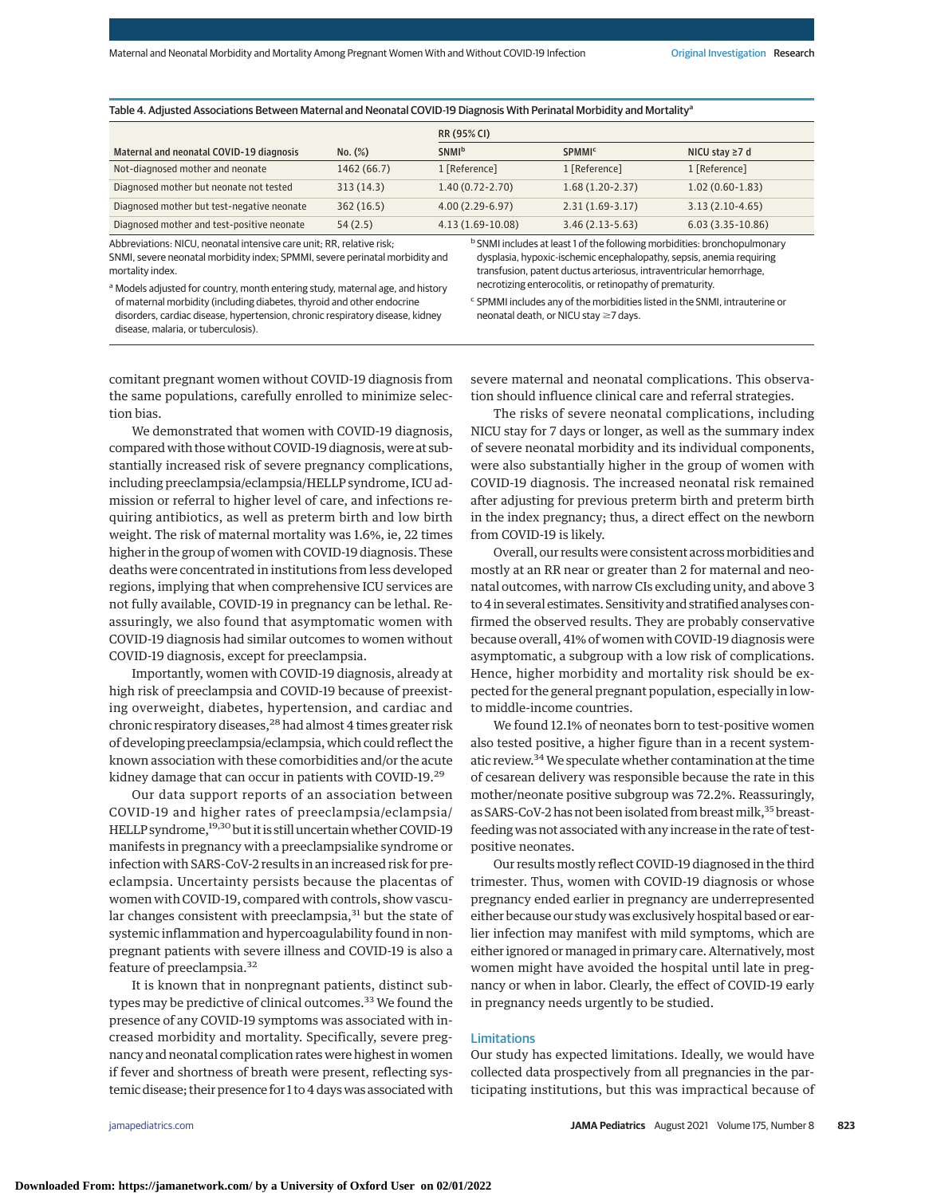| Table 4. Adjusted Associations Between Maternal and Neonatal COVID-19 Diagnosis With Perinatal Morbidity and Mortalityª |  |  |
|-------------------------------------------------------------------------------------------------------------------------|--|--|
|-------------------------------------------------------------------------------------------------------------------------|--|--|

|             | RR (95% CI)              |                          |                      |  |
|-------------|--------------------------|--------------------------|----------------------|--|
| No. (%)     | <b>SNMI</b> <sup>b</sup> | <b>SPMMI<sup>c</sup></b> | NICU stay $\geq 7$ d |  |
| 1462 (66.7) | 1 [Reference]            | 1 [Reference]            | 1 [Reference]        |  |
| 313(14.3)   | $1.40(0.72 - 2.70)$      | $1.68(1.20-2.37)$        | $1.02(0.60-1.83)$    |  |
| 362(16.5)   | $4.00(2.29-6.97)$        | $2.31(1.69-3.17)$        | $3.13(2.10-4.65)$    |  |
| 54(2.5)     | $4.13(1.69-10.08)$       | $3.46(2.13-5.63)$        | $6.03(3.35-10.86)$   |  |
|             |                          |                          |                      |  |

Abbreviations: NICU, neonatal intensive care unit; RR, relative risk; SNMI, severe neonatal morbidity index; SPMMI, severe perinatal morbidity and mortality index.

<sup>b</sup> SNMI includes at least 1 of the following morbidities: bronchopulmonary dysplasia, hypoxic-ischemic encephalopathy, sepsis, anemia requiring transfusion, patent ductus arteriosus, intraventricular hemorrhage, necrotizing enterocolitis, or retinopathy of prematurity.

a Models adjusted for country, month entering study, maternal age, and history of maternal morbidity (including diabetes, thyroid and other endocrine disorders, cardiac disease, hypertension, chronic respiratory disease, kidney disease, malaria, or tuberculosis).

<sup>c</sup> SPMMI includes any of the morbidities listed in the SNMI, intrauterine or neonatal death, or NICU stay ≥7 days.

comitant pregnant women without COVID-19 diagnosis from the same populations, carefully enrolled to minimize selection bias.

We demonstrated that women with COVID-19 diagnosis, compared with those without COVID-19 diagnosis, were at substantially increased risk of severe pregnancy complications, including preeclampsia/eclampsia/HELLP syndrome, ICU admission or referral to higher level of care, and infections requiring antibiotics, as well as preterm birth and low birth weight. The risk of maternal mortality was 1.6%, ie, 22 times higher in the group of women with COVID-19 diagnosis. These deaths were concentrated in institutions from less developed regions, implying that when comprehensive ICU services are not fully available, COVID-19 in pregnancy can be lethal. Reassuringly, we also found that asymptomatic women with COVID-19 diagnosis had similar outcomes to women without COVID-19 diagnosis, except for preeclampsia.

Importantly, women with COVID-19 diagnosis, already at high risk of preeclampsia and COVID-19 because of preexisting overweight, diabetes, hypertension, and cardiac and chronic respiratory diseases,<sup>28</sup> had almost 4 times greater risk of developing preeclampsia/eclampsia, which could reflect the known association with these comorbidities and/or the acute kidney damage that can occur in patients with COVID-19.29

Our data support reports of an association between COVID-19 and higher rates of preeclampsia/eclampsia/ HELLP syndrome,<sup>19,30</sup> but it is still uncertain whether COVID-19 manifests in pregnancy with a preeclampsialike syndrome or infection with SARS-CoV-2 results in an increased risk for preeclampsia. Uncertainty persists because the placentas of women with COVID-19, compared with controls, show vascular changes consistent with preeclampsia, $31$  but the state of systemic inflammation and hypercoagulability found in nonpregnant patients with severe illness and COVID-19 is also a feature of preeclampsia.<sup>32</sup>

It is known that in nonpregnant patients, distinct subtypes may be predictive of clinical outcomes.<sup>33</sup> We found the presence of any COVID-19 symptoms was associated with increased morbidity and mortality. Specifically, severe pregnancy and neonatal complication rates were highest in women if fever and shortness of breath were present, reflecting systemic disease; their presence for 1 to 4 days was associated with severe maternal and neonatal complications. This observation should influence clinical care and referral strategies.

The risks of severe neonatal complications, including NICU stay for 7 days or longer, as well as the summary index of severe neonatal morbidity and its individual components, were also substantially higher in the group of women with COVID-19 diagnosis. The increased neonatal risk remained after adjusting for previous preterm birth and preterm birth in the index pregnancy; thus, a direct effect on the newborn from COVID-19 is likely.

Overall, our results were consistent across morbidities and mostly at an RR near or greater than 2 for maternal and neonatal outcomes, with narrow CIs excluding unity, and above 3 to 4 in several estimates. Sensitivity and stratified analyses confirmed the observed results. They are probably conservative because overall, 41% of women with COVID-19 diagnosis were asymptomatic, a subgroup with a low risk of complications. Hence, higher morbidity and mortality risk should be expected for the general pregnant population, especially in lowto middle-income countries.

We found 12.1% of neonates born to test-positive women also tested positive, a higher figure than in a recent systematic review.34We speculate whether contamination at the time of cesarean delivery was responsible because the rate in this mother/neonate positive subgroup was 72.2%. Reassuringly, as SARS-CoV-2 has not been isolated from breast milk,<sup>35</sup> breastfeeding was not associated with any increase in the rate of testpositive neonates.

Our results mostly reflect COVID-19 diagnosed in the third trimester. Thus, women with COVID-19 diagnosis or whose pregnancy ended earlier in pregnancy are underrepresented either because our study was exclusively hospital based or earlier infection may manifest with mild symptoms, which are either ignored or managed in primary care. Alternatively, most women might have avoided the hospital until late in pregnancy or when in labor. Clearly, the effect of COVID-19 early in pregnancy needs urgently to be studied.

### Limitations

Our study has expected limitations. Ideally, we would have collected data prospectively from all pregnancies in the participating institutions, but this was impractical because of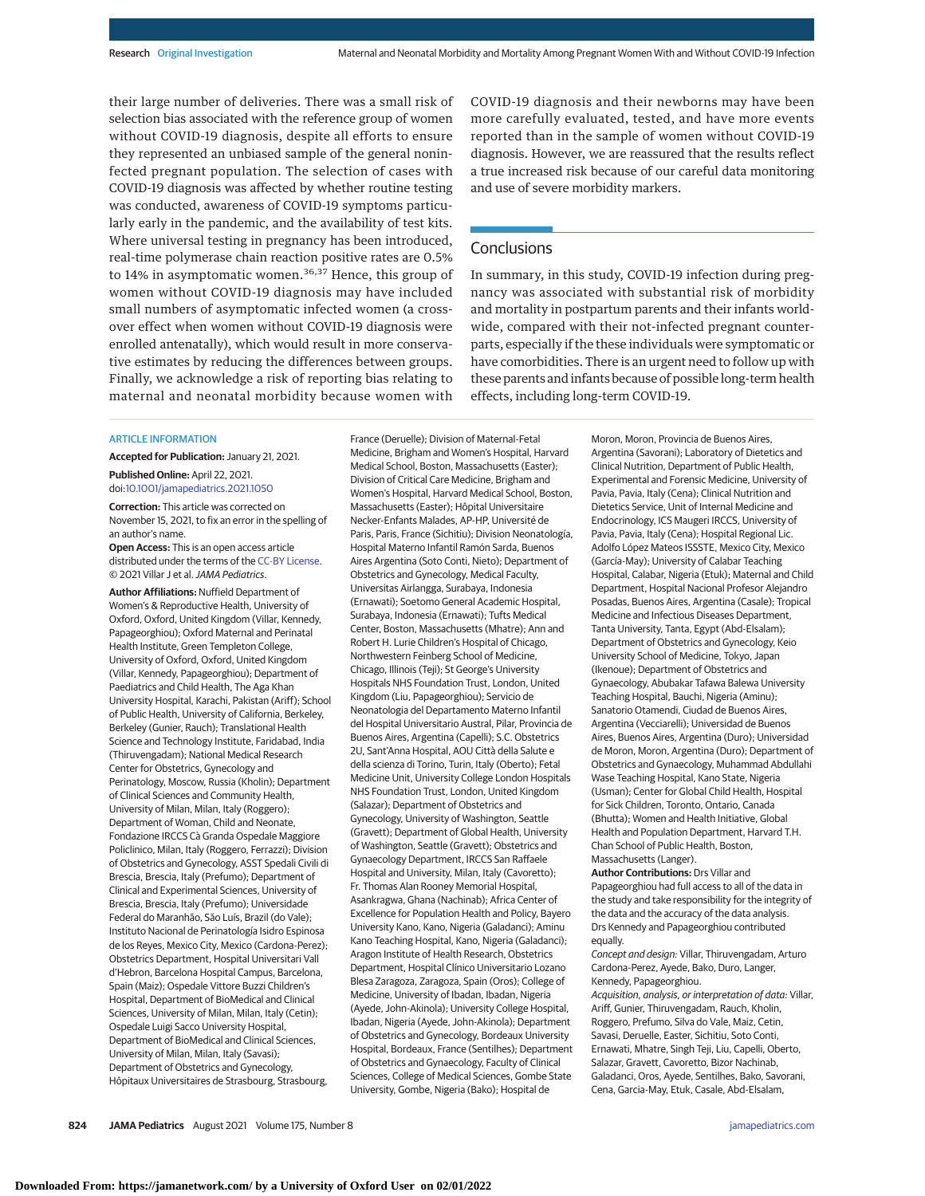their large number of deliveries. There was a small risk of selection bias associated with the reference group of women without COVID-19 diagnosis, despite all efforts to ensure they represented an unbiased sample of the general noninfected pregnant population. The selection of cases with COVID-19 diagnosis was affected by whether routine testing was conducted, awareness of COVID-19 symptoms particularly early in the pandemic, and the availability of test kits. Where universal testing in pregnancy has been introduced, real-time polymerase chain reaction positive rates are 0.5% to 14% in asymptomatic women.<sup>36,37</sup> Hence, this group of women without COVID-19 diagnosis may have included small numbers of asymptomatic infected women (a crossover effect when women without COVID-19 diagnosis were enrolled antenatally), which would result in more conservative estimates by reducing the differences between groups. Finally, we acknowledge a risk of reporting bias relating to maternal and neonatal morbidity because women with

COVID-19 diagnosis and their newborns may have been more carefully evaluated, tested, and have more events reported than in the sample of women without COVID-19 diagnosis. However, we are reassured that the results reflect a true increased risk because of our careful data monitoring and use of severe morbidity markers.

# **Conclusions**

In summary, in this study, COVID-19 infection during pregnancy was associated with substantial risk of morbidity and mortality in postpartum parents and their infants worldwide, compared with their not-infected pregnant counterparts, especially if the these individuals were symptomatic or have comorbidities. There is an urgent need to follow up with these parents and infants because of possible long-term health effects, including long-term COVID-19.

#### ARTICLE INFORMATION

**Accepted for Publication:** January 21, 2021.

**Published Online:** April 22, 2021. doi[:10.1001/jamapediatrics.2021.1050](https://jamanetwork.com/journals/jama/fullarticle/10.1001/jamapediatrics.2021.1050?utm_campaign=articlePDF%26utm_medium=articlePDFlink%26utm_source=articlePDF%26utm_content=jamapediatrics.2021.1050)

**Correction:** This article was corrected on November 15, 2021, to fix an error in the spelling of an author's name.

**Open Access:** This is an open access article distributed under the terms of the [CC-BY License.](https://jamanetwork.com/pages/cc-by-license-permissions?utm_campaign=articlePDF%26utm_medium=articlePDFlink%26utm_source=articlePDF%26utm_content=jamapediatrics.2021.1050) © 2021 Villar J et al.JAMA Pediatrics.

**Author Affiliations:** Nuffield Department of Women's & Reproductive Health, University of Oxford, Oxford, United Kingdom (Villar, Kennedy, Papageorghiou); Oxford Maternal and Perinatal Health Institute, Green Templeton College, University of Oxford, Oxford, United Kingdom (Villar, Kennedy, Papageorghiou); Department of Paediatrics and Child Health, The Aga Khan University Hospital, Karachi, Pakistan (Ariff); School of Public Health, University of California, Berkeley, Berkeley (Gunier, Rauch); Translational Health Science and Technology Institute, Faridabad, India (Thiruvengadam); National Medical Research Center for Obstetrics, Gynecology and Perinatology, Moscow, Russia (Kholin); Department of Clinical Sciences and Community Health, University of Milan, Milan, Italy (Roggero); Department of Woman, Child and Neonate, Fondazione IRCCS Cà Granda Ospedale Maggiore Policlinico, Milan, Italy (Roggero, Ferrazzi); Division of Obstetrics and Gynecology, ASST Spedali Civili di Brescia, Brescia, Italy (Prefumo); Department of Clinical and Experimental Sciences, University of Brescia, Brescia, Italy (Prefumo); Universidade Federal do Maranhão, São Luís, Brazil (do Vale); Instituto Nacional de Perinatología Isidro Espinosa de los Reyes, Mexico City, Mexico (Cardona-Perez); Obstetrics Department, Hospital Universitari Vall d'Hebron, Barcelona Hospital Campus, Barcelona, Spain (Maiz); Ospedale Vittore Buzzi Children's Hospital, Department of BioMedical and Clinical Sciences, University of Milan, Milan, Italy (Cetin); Ospedale Luigi Sacco University Hospital, Department of BioMedical and Clinical Sciences, University of Milan, Milan, Italy (Savasi); Department of Obstetrics and Gynecology, Hôpitaux Universitaires de Strasbourg, Strasbourg,

France (Deruelle); Division of Maternal-Fetal Medicine, Brigham and Women's Hospital, Harvard Medical School, Boston, Massachusetts (Easter); Division of Critical Care Medicine, Brigham and Women's Hospital, Harvard Medical School, Boston, Massachusetts (Easter); Hôpital Universitaire Necker-Enfants Malades, AP-HP, Université de Paris, Paris, France (Sichitiu); Division Neonatología, Hospital Materno Infantil Ramón Sarda, Buenos Aires Argentina (Soto Conti, Nieto); Department of Obstetrics and Gynecology, Medical Faculty, Universitas Airlangga, Surabaya, Indonesia (Ernawati); Soetomo General Academic Hospital, Surabaya, Indonesia (Ernawati); Tufts Medical Center, Boston, Massachusetts (Mhatre); Ann and Robert H. Lurie Children's Hospital of Chicago, Northwestern Feinberg School of Medicine, Chicago, Illinois (Teji); St George's University Hospitals NHS Foundation Trust, London, United Kingdom (Liu, Papageorghiou); Servicio de Neonatologia del Departamento Materno Infantil del Hospital Universitario Austral, Pilar, Provincia de Buenos Aires, Argentina (Capelli); S.C. Obstetrics 2U, Sant'Anna Hospital, AOU Città della Salute e della scienza di Torino, Turin, Italy (Oberto); Fetal Medicine Unit, University College London Hospitals NHS Foundation Trust, London, United Kingdom (Salazar); Department of Obstetrics and Gynecology, University of Washington, Seattle (Gravett); Department of Global Health, University of Washington, Seattle (Gravett); Obstetrics and Gynaecology Department, IRCCS San Raffaele Hospital and University, Milan, Italy (Cavoretto); Fr. Thomas Alan Rooney Memorial Hospital, Asankragwa, Ghana (Nachinab); Africa Center of Excellence for Population Health and Policy, Bayero University Kano, Kano, Nigeria (Galadanci); Aminu Kano Teaching Hospital, Kano, Nigeria (Galadanci); Aragon Institute of Health Research, Obstetrics Department, Hospital Clínico Universitario Lozano Blesa Zaragoza, Zaragoza, Spain (Oros); College of Medicine, University of Ibadan, Ibadan, Nigeria (Ayede, John-Akinola); University College Hospital, Ibadan, Nigeria (Ayede, John-Akinola); Department of Obstetrics and Gynecology, Bordeaux University Hospital, Bordeaux, France (Sentilhes); Department of Obstetrics and Gynaecology, Faculty of Clinical Sciences, College of Medical Sciences, Gombe State University, Gombe, Nigeria (Bako); Hospital de

Moron, Moron, Provincia de Buenos Aires, Argentina (Savorani); Laboratory of Dietetics and Clinical Nutrition, Department of Public Health, Experimental and Forensic Medicine, University of Pavia, Pavia, Italy (Cena); Clinical Nutrition and Dietetics Service, Unit of Internal Medicine and Endocrinology, ICS Maugeri IRCCS, University of Pavia, Pavia, Italy (Cena); Hospital Regional Lic. Adolfo López Mateos ISSSTE, Mexico City, Mexico (García-May); University of Calabar Teaching Hospital, Calabar, Nigeria (Etuk); Maternal and Child Department, Hospital Nacional Profesor Alejandro Posadas, Buenos Aires, Argentina (Casale); Tropical Medicine and Infectious Diseases Department, Tanta University, Tanta, Egypt (Abd-Elsalam); Department of Obstetrics and Gynecology, Keio University School of Medicine, Tokyo, Japan (Ikenoue); Department of Obstetrics and Gynaecology, Abubakar Tafawa Balewa University Teaching Hospital, Bauchi, Nigeria (Aminu); Sanatorio Otamendi, Ciudad de Buenos Aires, Argentina (Vecciarelli); Universidad de Buenos Aires, Buenos Aires, Argentina (Duro); Universidad de Moron, Moron, Argentina (Duro); Department of Obstetrics and Gynaecology, Muhammad Abdullahi Wase Teaching Hospital, Kano State, Nigeria (Usman); Center for Global Child Health, Hospital for Sick Children, Toronto, Ontario, Canada (Bhutta); Women and Health Initiative, Global Health and Population Department, Harvard T.H. Chan School of Public Health, Boston, Massachusetts (Langer).

**Author Contributions:** Drs Villar and Papageorghiou had full access to all of the data in the study and take responsibility for the integrity of the data and the accuracy of the data analysis. Drs Kennedy and Papageorghiou contributed equally.

Concept and design: Villar, Thiruvengadam, Arturo Cardona-Perez, Ayede, Bako, Duro, Langer, Kennedy, Papageorghiou.

Acquisition, analysis, or interpretation of data: Villar, Ariff, Gunier, Thiruvengadam, Rauch, Kholin, Roggero, Prefumo, Silva do Vale, Maiz, Cetin, Savasi, Deruelle, Easter, Sichitiu, Soto Conti, Ernawati, Mhatre, Singh Teji, Liu, Capelli, Oberto, Salazar, Gravett, Cavoretto, Bizor Nachinab, Galadanci, Oros, Ayede, Sentilhes, Bako, Savorani, Cena, Garcia-May, Etuk, Casale, Abd-Elsalam,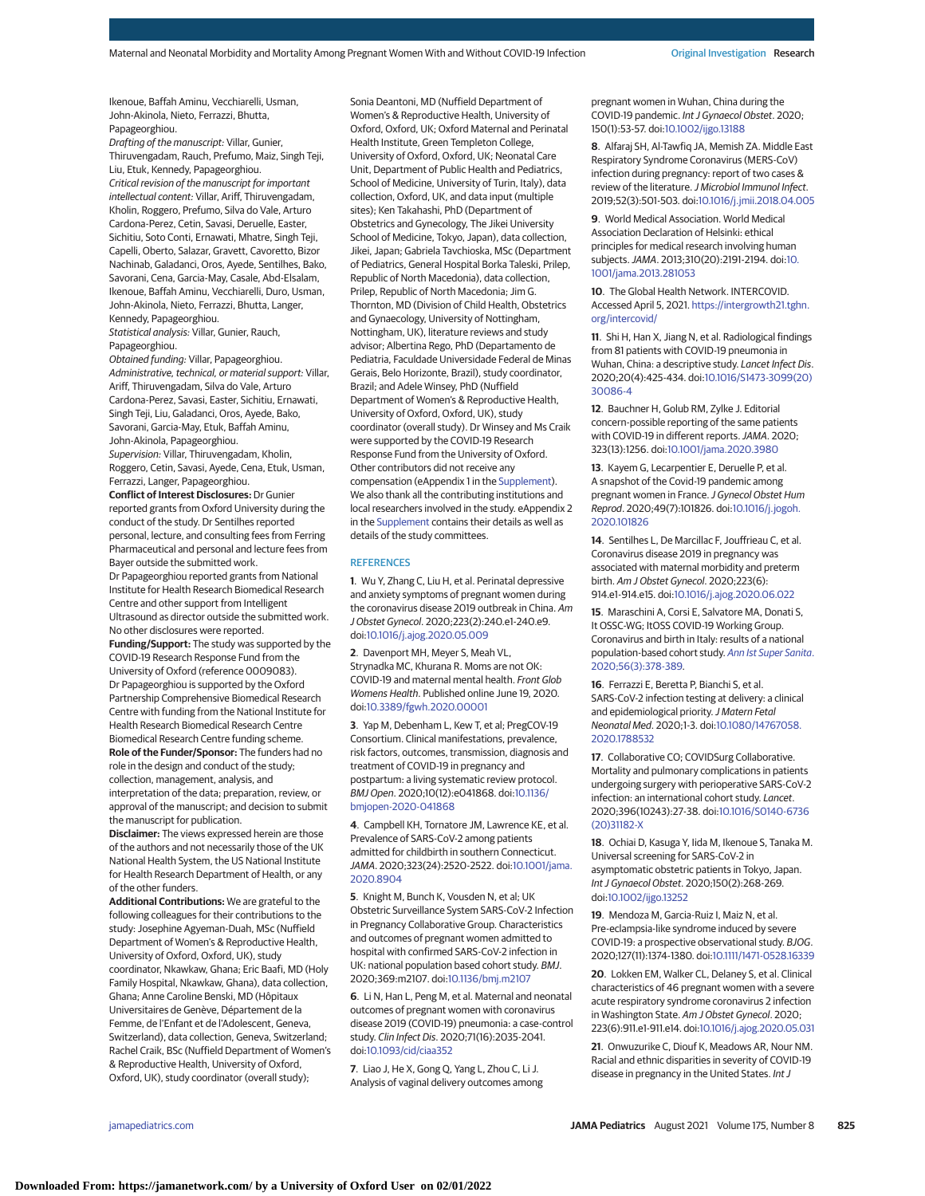Ikenoue, Baffah Aminu, Vecchiarelli, Usman, John-Akinola, Nieto, Ferrazzi, Bhutta, Papageorghiou.

Drafting of the manuscript: Villar, Gunier, Thiruvengadam, Rauch, Prefumo, Maiz, Singh Teji, Liu, Etuk, Kennedy, Papageorghiou. Critical revision of the manuscript for important intellectual content: Villar, Ariff, Thiruvengadam, Kholin, Roggero, Prefumo, Silva do Vale, Arturo Cardona-Perez, Cetin, Savasi, Deruelle, Easter, Sichitiu, Soto Conti, Ernawati, Mhatre, Singh Teji, Capelli, Oberto, Salazar, Gravett, Cavoretto, Bizor Nachinab, Galadanci, Oros, Ayede, Sentilhes, Bako, Savorani, Cena, Garcia-May, Casale, Abd-Elsalam, Ikenoue, Baffah Aminu, Vecchiarelli, Duro, Usman, John-Akinola, Nieto, Ferrazzi, Bhutta, Langer, Kennedy, Papageorghiou. Statistical analysis: Villar, Gunier, Rauch,

Papageorghiou.

Obtained funding: Villar, Papageorghiou. Administrative, technical, or material support: Villar, Ariff, Thiruvengadam, Silva do Vale, Arturo Cardona-Perez, Savasi, Easter, Sichitiu, Ernawati, Singh Teji, Liu, Galadanci, Oros, Ayede, Bako, Savorani, Garcia-May, Etuk, Baffah Aminu, John-Akinola, Papageorghiou.

Supervision: Villar, Thiruvengadam, Kholin, Roggero, Cetin, Savasi, Ayede, Cena, Etuk, Usman, Ferrazzi, Langer, Papageorghiou.

**Conflict of Interest Disclosures:** Dr Gunier reported grants from Oxford University during the conduct of the study. Dr Sentilhes reported personal, lecture, and consulting fees from Ferring Pharmaceutical and personal and lecture fees from Bayer outside the submitted work.

Dr Papageorghiou reported grants from National Institute for Health Research Biomedical Research Centre and other support from Intelligent Ultrasound as director outside the submitted work. No other disclosures were reported. **Funding/Support:** The study was supported by the

COVID-19 Research Response Fund from the University of Oxford (reference 0009083). Dr Papageorghiou is supported by the Oxford Partnership Comprehensive Biomedical Research Centre with funding from the National Institute for Health Research Biomedical Research Centre Biomedical Research Centre funding scheme. **Role of the Funder/Sponsor:** The funders had no role in the design and conduct of the study; collection, management, analysis, and interpretation of the data; preparation, review, or

approval of the manuscript; and decision to submit the manuscript for publication. **Disclaimer:** The views expressed herein are those

of the authors and not necessarily those of the UK National Health System, the US National Institute for Health Research Department of Health, or any of the other funders.

**Additional Contributions:** We are grateful to the following colleagues for their contributions to the study: Josephine Agyeman-Duah, MSc (Nuffield Department of Women's & Reproductive Health, University of Oxford, Oxford, UK), study coordinator, Nkawkaw, Ghana; Eric Baafi, MD (Holy Family Hospital, Nkawkaw, Ghana), data collection, Ghana; Anne Caroline Benski, MD (Hôpitaux Universitaires de Genève, Département de la Femme, de l'Enfant et de l'Adolescent, Geneva, Switzerland), data collection, Geneva, Switzerland; Rachel Craik, BSc (Nuffield Department of Women's & Reproductive Health, University of Oxford, Oxford, UK), study coordinator (overall study);

Sonia Deantoni, MD (Nuffield Department of Women's & Reproductive Health, University of Oxford, Oxford, UK; Oxford Maternal and Perinatal Health Institute, Green Templeton College, University of Oxford, Oxford, UK; Neonatal Care Unit, Department of Public Health and Pediatrics, School of Medicine, University of Turin, Italy), data collection, Oxford, UK, and data input (multiple sites); Ken Takahashi, PhD (Department of Obstetrics and Gynecology, The Jikei University School of Medicine, Tokyo, Japan), data collection, Jikei, Japan; Gabriela Tavchioska, MSc (Department of Pediatrics, General Hospital Borka Taleski, Prilep, Republic of North Macedonia), data collection, Prilep, Republic of North Macedonia; Jim G. Thornton, MD (Division of Child Health, Obstetrics and Gynaecology, University of Nottingham, Nottingham, UK), literature reviews and study advisor; Albertina Rego, PhD (Departamento de Pediatria, Faculdade Universidade Federal de Minas Gerais, Belo Horizonte, Brazil), study coordinator, Brazil; and Adele Winsey, PhD (Nuffield Department of Women's & Reproductive Health, University of Oxford, Oxford, UK), study coordinator (overall study). Dr Winsey and Ms Craik were supported by the COVID-19 Research Response Fund from the University of Oxford. Other contributors did not receive any compensation (eAppendix 1 in the [Supplement\)](https://jamanetwork.com/journals/jama/fullarticle/10.1001/jamapediatrics.2021.1050?utm_campaign=articlePDF%26utm_medium=articlePDFlink%26utm_source=articlePDF%26utm_content=jamapediatrics.2021.1050). We also thank all the contributing institutions and local researchers involved in the study. eAppendix 2 in the [Supplement](https://jamanetwork.com/journals/jama/fullarticle/10.1001/jamapediatrics.2021.1050?utm_campaign=articlePDF%26utm_medium=articlePDFlink%26utm_source=articlePDF%26utm_content=jamapediatrics.2021.1050) contains their details as well as details of the study committees.

#### **REFERENCES**

**1**. Wu Y, Zhang C, Liu H, et al. Perinatal depressive and anxiety symptoms of pregnant women during the coronavirus disease 2019 outbreak in China. Am J Obstet Gynecol. 2020;223(2):240.e1-240.e9. doi[:10.1016/j.ajog.2020.05.009](https://dx.doi.org/10.1016/j.ajog.2020.05.009)

**2**. Davenport MH, Meyer S, Meah VL, Strynadka MC, Khurana R. Moms are not OK: COVID-19 and maternal mental health. Front Glob Womens Health. Published online June 19, 2020. doi[:10.3389/fgwh.2020.00001](https://dx.doi.org/10.3389/fgwh.2020.00001)

**3**. Yap M, Debenham L, Kew T, et al; PregCOV-19 Consortium. Clinical manifestations, prevalence, risk factors, outcomes, transmission, diagnosis and treatment of COVID-19 in pregnancy and postpartum: a living systematic review protocol. BMJ Open. 2020;10(12):e041868. doi[:10.1136/](https://dx.doi.org/10.1136/bmjopen-2020-041868) [bmjopen-2020-041868](https://dx.doi.org/10.1136/bmjopen-2020-041868)

**4**. Campbell KH, Tornatore JM, Lawrence KE, et al. Prevalence of SARS-CoV-2 among patients admitted for childbirth in southern Connecticut. JAMA. 2020;323(24):2520-2522. doi[:10.1001/jama.](https://jamanetwork.com/journals/jama/fullarticle/10.1001/jama.2020.8904?utm_campaign=articlePDF%26utm_medium=articlePDFlink%26utm_source=articlePDF%26utm_content=jamapediatrics.2021.1050) [2020.8904](https://jamanetwork.com/journals/jama/fullarticle/10.1001/jama.2020.8904?utm_campaign=articlePDF%26utm_medium=articlePDFlink%26utm_source=articlePDF%26utm_content=jamapediatrics.2021.1050)

**5**. Knight M, Bunch K, Vousden N, et al; UK Obstetric Surveillance System SARS-CoV-2 Infection in Pregnancy Collaborative Group. Characteristics and outcomes of pregnant women admitted to hospital with confirmed SARS-CoV-2 infection in UK: national population based cohort study. BMJ. 2020;369:m2107. doi[:10.1136/bmj.m2107](https://dx.doi.org/10.1136/bmj.m2107)

**6**. Li N, Han L, Peng M, et al. Maternal and neonatal outcomes of pregnant women with coronavirus disease 2019 (COVID-19) pneumonia: a case-control study. Clin Infect Dis. 2020;71(16):2035-2041. doi[:10.1093/cid/ciaa352](https://dx.doi.org/10.1093/cid/ciaa352)

**7**. Liao J, He X, Gong Q, Yang L, Zhou C, Li J. Analysis of vaginal delivery outcomes among pregnant women in Wuhan, China during the COVID-19 pandemic. Int J Gynaecol Obstet. 2020; 150(1):53-57. doi[:10.1002/ijgo.13188](https://dx.doi.org/10.1002/ijgo.13188)

**8**. Alfaraj SH, Al-Tawfiq JA, Memish ZA. Middle East Respiratory Syndrome Coronavirus (MERS-CoV) infection during pregnancy: report of two cases & review of the literature. J Microbiol Immunol Infect. 2019;52(3):501-503. doi[:10.1016/j.jmii.2018.04.005](https://dx.doi.org/10.1016/j.jmii.2018.04.005)

**9**. World Medical Association. World Medical Association Declaration of Helsinki: ethical principles for medical research involving human subjects.JAMA. 2013;310(20):2191-2194. doi[:10.](https://jamanetwork.com/journals/jama/fullarticle/10.1001/jama.2013.281053?utm_campaign=articlePDF%26utm_medium=articlePDFlink%26utm_source=articlePDF%26utm_content=jamapediatrics.2021.1050) [1001/jama.2013.281053](https://jamanetwork.com/journals/jama/fullarticle/10.1001/jama.2013.281053?utm_campaign=articlePDF%26utm_medium=articlePDFlink%26utm_source=articlePDF%26utm_content=jamapediatrics.2021.1050)

**10**. The Global Health Network. INTERCOVID. Accessed April 5, 2021. [https://intergrowth21.tghn.](https://intergrowth21.tghn.org/intercovid/) [org/intercovid/](https://intergrowth21.tghn.org/intercovid/)

**11**. Shi H, Han X, Jiang N, et al. Radiological findings from 81 patients with COVID-19 pneumonia in Wuhan, China: a descriptive study. Lancet Infect Dis. 2020;20(4):425-434. doi[:10.1016/S1473-3099\(20\)](https://dx.doi.org/10.1016/S1473-3099(20)30086-4) [30086-4](https://dx.doi.org/10.1016/S1473-3099(20)30086-4)

**12**. Bauchner H, Golub RM, Zylke J. Editorial concern-possible reporting of the same patients with COVID-19 in different reports.JAMA. 2020; 323(13):1256. doi[:10.1001/jama.2020.3980](https://jamanetwork.com/journals/jama/fullarticle/10.1001/jama.2020.3980?utm_campaign=articlePDF%26utm_medium=articlePDFlink%26utm_source=articlePDF%26utm_content=jamapediatrics.2021.1050)

**13**. Kayem G, Lecarpentier E, Deruelle P, et al. A snapshot of the Covid-19 pandemic among pregnant women in France. J Gynecol Obstet Hum Reprod. 2020;49(7):101826. doi[:10.1016/j.jogoh.](https://dx.doi.org/10.1016/j.jogoh.2020.101826) [2020.101826](https://dx.doi.org/10.1016/j.jogoh.2020.101826)

**14**. Sentilhes L, De Marcillac F, Jouffrieau C, et al. Coronavirus disease 2019 in pregnancy was associated with maternal morbidity and preterm birth. Am J Obstet Gynecol. 2020;223(6): 914.e1-914.e15. doi[:10.1016/j.ajog.2020.06.022](https://dx.doi.org/10.1016/j.ajog.2020.06.022)

**15**. Maraschini A, Corsi E, Salvatore MA, Donati S, It OSSC-WG; ItOSS COVID-19 Working Group. Coronavirus and birth in Italy: results of a national population-based cohort study. [Ann Ist Super Sanita](https://www.ncbi.nlm.nih.gov/pubmed/32959805). [2020;56\(3\):378-389.](https://www.ncbi.nlm.nih.gov/pubmed/32959805)

**16**. Ferrazzi E, Beretta P, Bianchi S, et al. SARS-CoV-2 infection testing at delivery: a clinical and epidemiological priority. J Matern Fetal Neonatal Med. 2020;1-3. doi[:10.1080/14767058.](https://dx.doi.org/10.1080/14767058.2020.1788532) [2020.1788532](https://dx.doi.org/10.1080/14767058.2020.1788532)

**17**. Collaborative CO; COVIDSurg Collaborative. Mortality and pulmonary complications in patients undergoing surgery with perioperative SARS-CoV-2 infection: an international cohort study. Lancet. 2020;396(10243):27-38. doi[:10.1016/S0140-6736](https://dx.doi.org/10.1016/S0140-6736(20)31182-X) [\(20\)31182-X](https://dx.doi.org/10.1016/S0140-6736(20)31182-X)

**18**. Ochiai D, Kasuga Y, Iida M, Ikenoue S, Tanaka M. Universal screening for SARS-CoV-2 in asymptomatic obstetric patients in Tokyo, Japan. Int J Gynaecol Obstet. 2020;150(2):268-269. doi[:10.1002/ijgo.13252](https://dx.doi.org/10.1002/ijgo.13252)

**19**. Mendoza M, Garcia-Ruiz I, Maiz N, et al. Pre-eclampsia-like syndrome induced by severe COVID-19: a prospective observational study. BJOG. 2020;127(11):1374-1380. doi[:10.1111/1471-0528.16339](https://dx.doi.org/10.1111/1471-0528.16339)

**20**. Lokken EM, Walker CL, Delaney S, et al. Clinical characteristics of 46 pregnant women with a severe acute respiratory syndrome coronavirus 2 infection in Washington State. Am J Obstet Gynecol. 2020; 223(6):911.e1-911.e14. doi[:10.1016/j.ajog.2020.05.031](https://dx.doi.org/10.1016/j.ajog.2020.05.031)

**21**. Onwuzurike C, Diouf K, Meadows AR, Nour NM. Racial and ethnic disparities in severity of COVID-19 disease in pregnancy in the United States. Int J